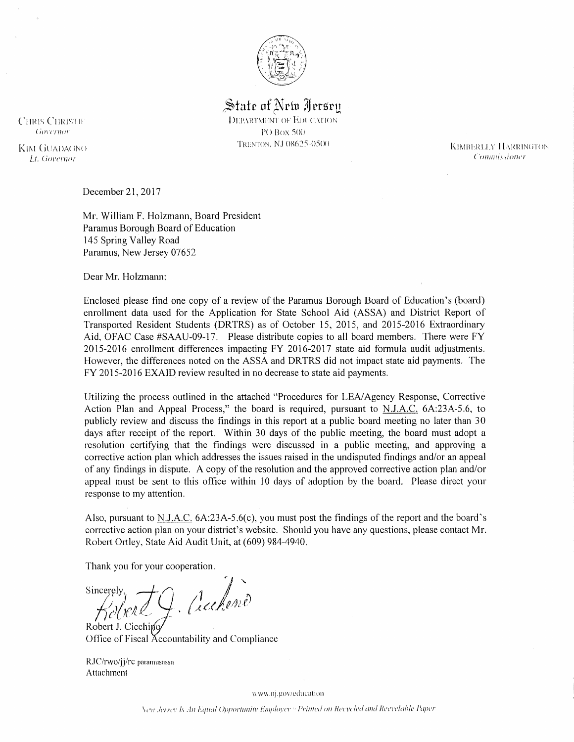

State of Nrtu Jersen **DEPARTMENT OF EDUCATION** PO Box 500 TRENTON, NJ 08625-0500

**CHRIS CHRISTIE** Governor

KIM GUADAGNO Lt. Governor

December 21, 2017

Mr. William F. Holzmann, Board President Paramus Borough Board of Education 145 Spring Valley Road Paramus, New Jersey 07652

Dear Mr. Holzmann:

Enclosed please find one copy of a review of the Paramus Borough Board of Education's (board) enrollment data used for the Application for State School Aid (ASSA) and District Report of Transported Resident Students (DRTRS) as of October 15, 2015, and 2015-2016 Extraordinary Aid, OFAC Case #SAAU-09-17. Please distribute copies to all board members. There were FY 2015-2016 enrollment differences impacting FY 2016-2017 state aid formula audit adjustments. However, the differences noted on the ASSA and DRTRS did not impact state aid payments. The FY 2015-2016 EXAID review resulted in no decrease to state aid payments.

Utilizing the process outlined in the attached "Procedures for LEA/Agency Response, Corrective Action Plan and Appeal Process," the board is required, pursuant to N.J.A.C. 6A:23A-5.6, to publicly review and discuss the findings in this report at a public board meeting no later than 30 days after receipt of the report. Within 30 days of the public meeting, the board must adopt a resolution certifying that the findings were discussed in a public meeting, and approving a corrective action plan which addresses the issues raised in the undisputed findings and/or an appeal of any findings in dispute. A copy of the resolution and the approved corrective action plan and/or appeal must be sent to this office within 10 days of adoption by the board. Please direct your response to my attention.

Also, pursuant to N.J.A.C. 6A:23A-5.6(c), you must post the findings of the report and the board's corrective action plan on your district's website. Should you have any questions, please contact Mr. Robert Ortley, State Aid Audit Unit, at (609) 984-4940.

Thank you for your cooperation.

J. Auchend **Sincerely** 

Robert J. Cicchino Office of Fiscal Accountability and Compliance

RJC/rwo/jj/rc paramusassa Attachment

www.nj.gov/education

New Jersey Is An Equal Opportunity Employer <sup>6</sup> Printed on Recycled and Recyclable Paper

**KIMBERLLY HARRINGTON** Commissioner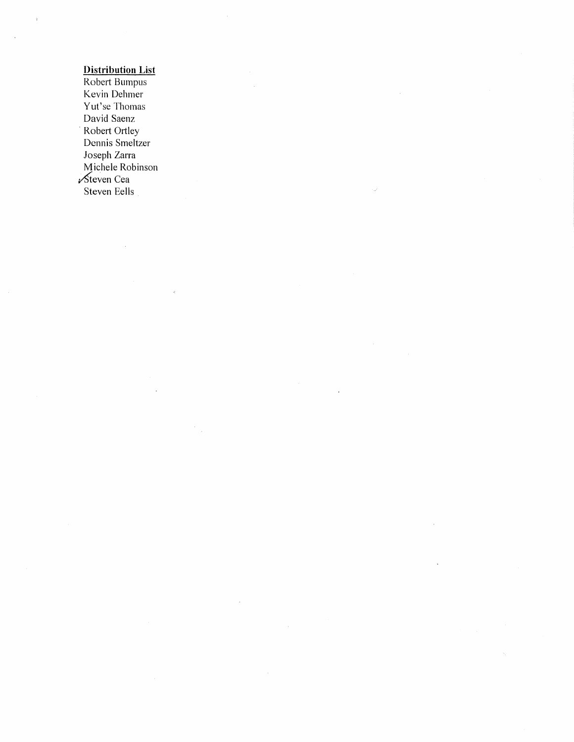# **Distribution List**

 $\bar{z}$ 

 $\ddot{\phantom{a}}$ 

 $\hat{c}$ 

Robert Bumpus Kevin Dehmer Yut'se Thomas David Saenz Robert Ortley Dennis Smeltzer Joseph Zarra<br>Michele Robinson Steven Cea Steven Eells

 $\frac{1}{\sqrt{2}}$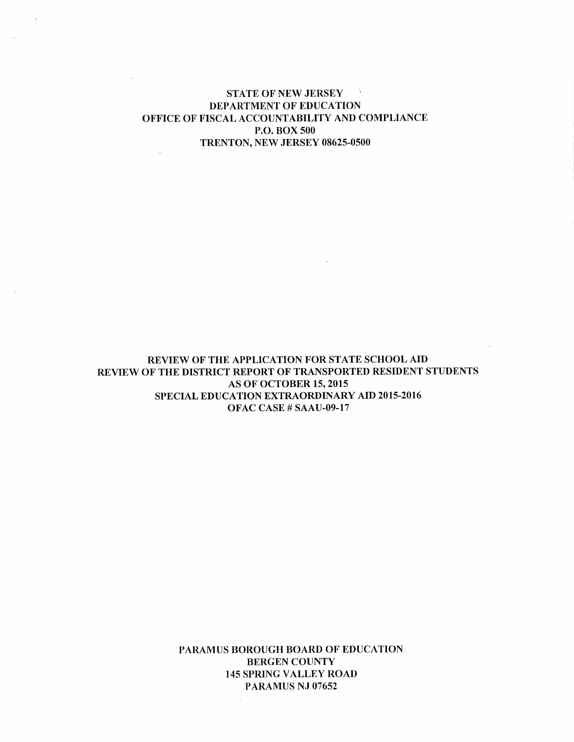#### **STATE OF NEW JERSEY**  $\sim 5$ DEPARTMENT OF EDUCATION OFFICE OF FISCAL ACCOUNTABILITY AND COMPLIANCE **P.O. BOX 500** TRENTON, NEW JERSEY 08625-0500

REVIEW OF THE APPLICATION FOR STATE SCHOOL AID REVIEW OF THE DISTRICT REPORT OF TRANSPORTED RESIDENT STUDENTS **AS OF OCTOBER 15, 2015** SPECIAL EDUCATION EXTRAORDINARY AID 2015-2016 OFAC CASE # SAAU-09-17

> PARAMUS BOROUGH BOARD OF EDUCATION **BERGEN COUNTY 145 SPRING VALLEY ROAD** PARAMUS NJ 07652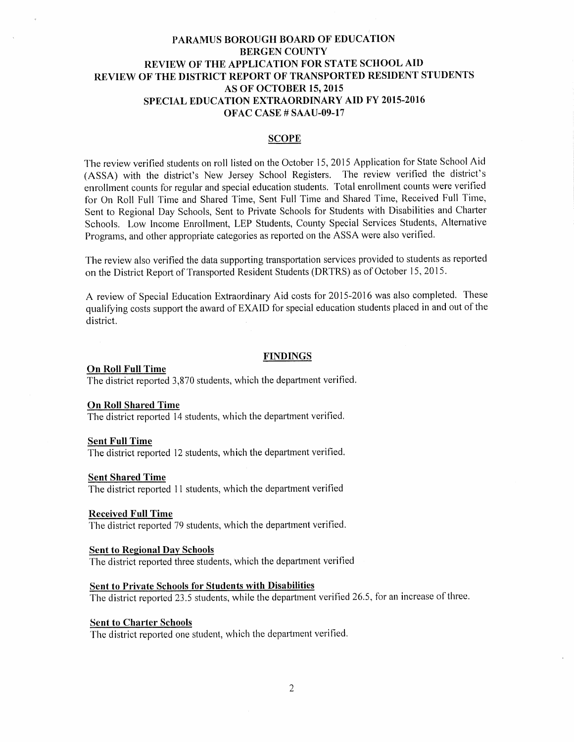### **SCOPE**

The review verified students on roll listed on the October 15, 2015 Application for State School Aid (ASSA) with the district's New Jersey School Registers. The review verified the district's enrollment counts for regular and special education students. Total enrollment counts were verified for On Roll Full Time and Shared Time, Sent Full Time and Shared Time, Received Full Time, Sent to Regional Day Schools, Sent to Private Schools for Students with Disabilities and Charter Schools. Low Income Enrollment, LEP Students, County Special Services Students, Alternative Programs, and other appropriate categories as reported on the ASSA were also verified.

The review also verified the data supporting transportation services provided to students as reported on the District Report of Transported Resident Students (DRTRS) as of October 15, 2015.

A review of Special Education Extraordinary Aid costs for 2015-2016 was also completed. These qualifying costs support the award of EXAID for special education students placed in and out of the district.

### **FINDINGS**

#### **On Roll Full Time**

The district reported 3,870 students, which the department verified.

#### **On Roll Shared Time**

The district reported 14 students, which the department verified.

#### **Sent Full Time**

The district reported 12 students, which the department verified.

#### **Sent Shared Time**

The district reported 11 students, which the department verified

#### **Received Full Time**

The district reported 79 students, which the department verified.

### **Sent to Regional Day Schools**

The district reported three students, which the department verified

#### **Sent to Private Schools for Students with Disabilities**

The district reported 23.5 students, while the department verified 26.5, for an increase of three.

#### **Sent to Charter Schools**

The district reported one student, which the department verified.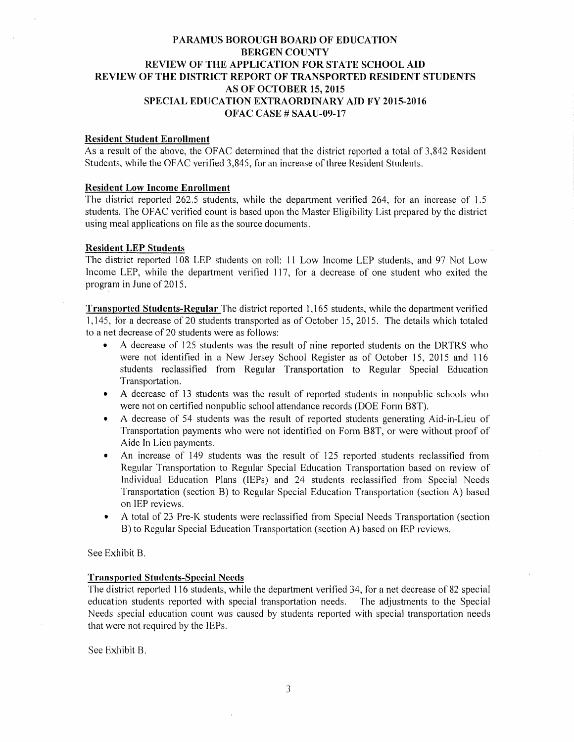### **Resident Student Enrollment**

As a result of the above, the OFAC determined that the district reported a total of 3,842 Resident Students, while the OFAC verified 3,845, for an increase of three Resident Students.

### **Resident Low Income Enrollment**

The district reported 262.5 students, while the department verified 264, for an increase of 1.5 students. The OFAC verified count is based upon the Master Eligibility List prepared by the district using meal applications on file as the source documents.

### **Resident LEP Students**

The district reported 108 LEP students on roll: 11 Low Income LEP students, and 97 Not Low Income LEP, while the department verified 117, for a decrease of one student who exited the program in June of 2015.

**Transported Students-Regular** The district reported 1,165 students, while the department verified 1,145, for a decrease of 20 students transported as of October 15, 2015. The details which totaled to a net decrease of 20 students were as follows:

- A decrease of 125 students was the result of nine reported students on the DRTRS who were not identified in a New Jersey School Register as of October 15, 2015 and 116 students reclassified from Regular Transportation to Regular Special Education Transportation.
- A decrease of 13 students was the result of reported students in nonpublic schools who  $\bullet$ were not on certified nonpublic school attendance records (DOE Form B8T).
- A decrease of 54 students was the result of reported students generating Aid-in-Lieu of  $\bullet$ Transportation payments who were not identified on Form B8T, or were without proof of Aide In Lieu payments.
- An increase of 149 students was the result of 125 reported students reclassified from  $\bullet$ Regular Transportation to Regular Special Education Transportation based on review of Individual Education Plans (IEPs) and 24 students reclassified from Special Needs Transportation (section B) to Regular Special Education Transportation (section A) based on IEP reviews.
- A total of 23 Pre-K students were reclassified from Special Needs Transportation (section  $\bullet$ B) to Regular Special Education Transportation (section A) based on IEP reviews.

### See Exhibit B.

### **Transported Students-Special Needs**

The district reported 116 students, while the department verified 34, for a net decrease of 82 special education students reported with special transportation needs. The adjustments to the Special Needs special education count was caused by students reported with special transportation needs that were not required by the IEPs.

See Exhibit B.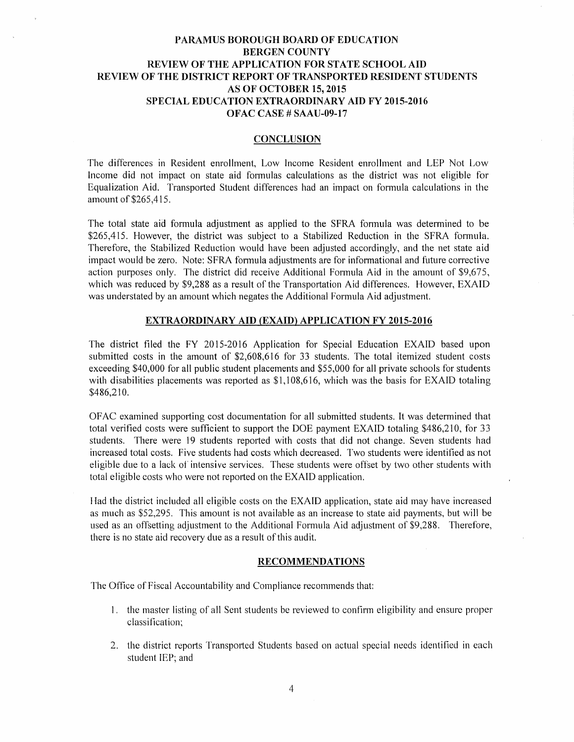#### **CONCLUSION**

The differences in Resident enrollment, Low Income Resident enrollment and LEP Not Low Income did not impact on state aid formulas calculations as the district was not eligible for Equalization Aid. Transported Student differences had an impact on formula calculations in the amount of \$265,415.

The total state aid formula adjustment as applied to the SFRA formula was determined to be \$265,415. However, the district was subject to a Stabilized Reduction in the SFRA formula. Therefore, the Stabilized Reduction would have been adjusted accordingly, and the net state aid impact would be zero. Note: SFRA formula adjustments are for informational and future corrective action purposes only. The district did receive Additional Formula Aid in the amount of \$9,675, which was reduced by \$9,288 as a result of the Transportation Aid differences. However, EXAID was understated by an amount which negates the Additional Formula Aid adjustment.

### **EXTRAORDINARY AID (EXAID) APPLICATION FY 2015-2016**

The district filed the FY 2015-2016 Application for Special Education EXAID based upon submitted costs in the amount of \$2,608,616 for 33 students. The total itemized student costs exceeding \$40,000 for all public student placements and \$55,000 for all private schools for students with disabilities placements was reported as \$1,108,616, which was the basis for EXAID totaling \$486,210.

OFAC examined supporting cost documentation for all submitted students. It was determined that total verified costs were sufficient to support the DOE payment EXAID totaling \$486,210, for 33 students. There were 19 students reported with costs that did not change. Seven students had increased total costs. Five students had costs which decreased. Two students were identified as not eligible due to a lack of intensive services. These students were offset by two other students with total eligible costs who were not reported on the EXAID application.

Had the district included all eligible costs on the EXAID application, state aid may have increased as much as \$52,295. This amount is not available as an increase to state aid payments, but will be used as an offsetting adjustment to the Additional Formula Aid adjustment of \$9,288. Therefore, there is no state aid recovery due as a result of this audit.

#### **RECOMMENDATIONS**

The Office of Fiscal Accountability and Compliance recommends that:

- 1. the master listing of all Sent students be reviewed to confirm eligibility and ensure proper classification:
- 2. the district reports Transported Students based on actual special needs identified in each student IEP; and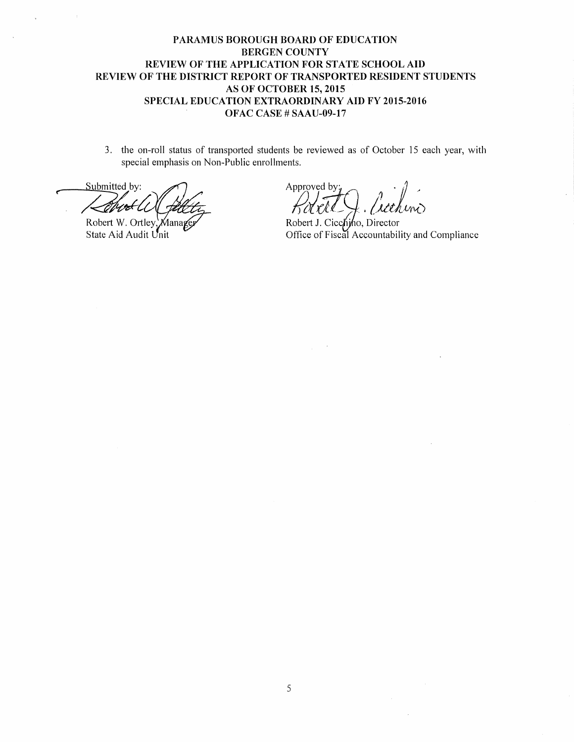3. the on-roll status of transported students be reviewed as of October 15 each year, with special emphasis on Non-Public enrollments.

Submitted by: イクナ

Robert W. Ortley Manag€ State Aid Audit Unit

Approved by:

Robert J. Cicchino, Director Office of Fiscal Accountability and Compliance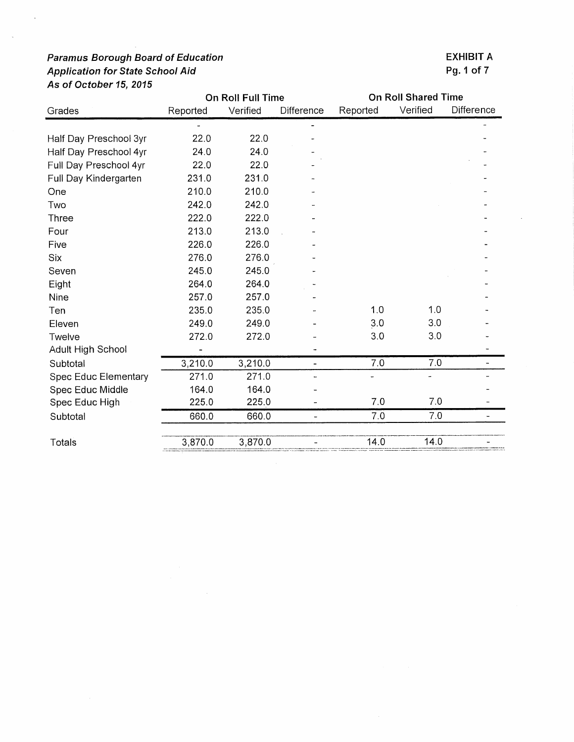Twelve

Subtotal

Subtotal

Totals

Adult High School

Spec Educ Middle

Spec Educ High

**Spec Educ Elementary** 

| Grades                 | Reported | Verified | Difference               | Reported | Verified | <b>Difference</b> |
|------------------------|----------|----------|--------------------------|----------|----------|-------------------|
|                        |          |          |                          |          |          |                   |
| Half Day Preschool 3yr | 22.0     | 22.0     |                          |          |          |                   |
| Half Day Preschool 4yr | 24.0     | 24.0     |                          |          |          |                   |
| Full Day Preschool 4yr | 22.0     | 22.0     |                          |          |          |                   |
| Full Day Kindergarten  | 231.0    | 231.0    |                          |          |          |                   |
| One                    | 210.0    | 210.0    |                          |          |          |                   |
| Two                    | 242.0    | 242.0    |                          |          |          |                   |
| Three                  | 222.0    | 222.0    |                          |          |          |                   |
| Four                   | 213.0    | 213.0    | $\overline{\phantom{a}}$ |          |          |                   |
| Five                   | 226.0    | 226.0    |                          |          |          |                   |
| Six                    | 276.0    | 276.0    |                          |          |          |                   |
| Seven                  | 245.0    | 245.0    | -                        |          |          |                   |
| Eight                  | 264.0    | 264.0    |                          |          |          |                   |
| Nine                   | 257.0    | 257.0    | $\overline{\phantom{m}}$ |          |          |                   |
| Ten                    | 235.0    | 235.0    |                          | 1,0      | 1.0      |                   |
| Eleven                 | 249.0    | 249.0    |                          | 3.0      | 3.0      |                   |

 $\ddot{\phantom{0}}$ 

 $\overline{a}$ 

 $\mathbb{Z}^d$ 

 $\overline{a}$ 

 $\overline{a}$ 

 $\overline{a}$ 

 $\frac{1}{2}$ 

 $\frac{1}{2}$ 

272.0

 $3,210.0$ 

 $271.0$ 

164.0

225.0

660.0

 $3,870.0$ 

On Roll Full Time

272.0

 $\overline{\phantom{a}}$ 

 $271.0$ 

164.0

225.0

660.0

3,870.0

 $3,210.0$ 

## **EXHIBIT A** Pg. 1 of 7

 $\overline{a}$ 

 $\overline{a}$ 

 $\mathbb{L}^{\mathbb{Z}}$ 

 $\overline{a}$ 

 $\overline{a}$ 

 $\frac{1}{2}$ 

 $\Box$ 

 $\overline{\phantom{a}}$ 

**On Roll Shared Time** 

 $3.0$ 

 $7.0$ 

 $7.0$ 

 $7.0$ 

 $14.0$ 

 $\overline{\phantom{a}}$ 

 $3.0$ 

 $7.0$ 

 $7.0\,$ 

 $7.0$ 

 $14.0$ 

 $\ddot{\phantom{0}}$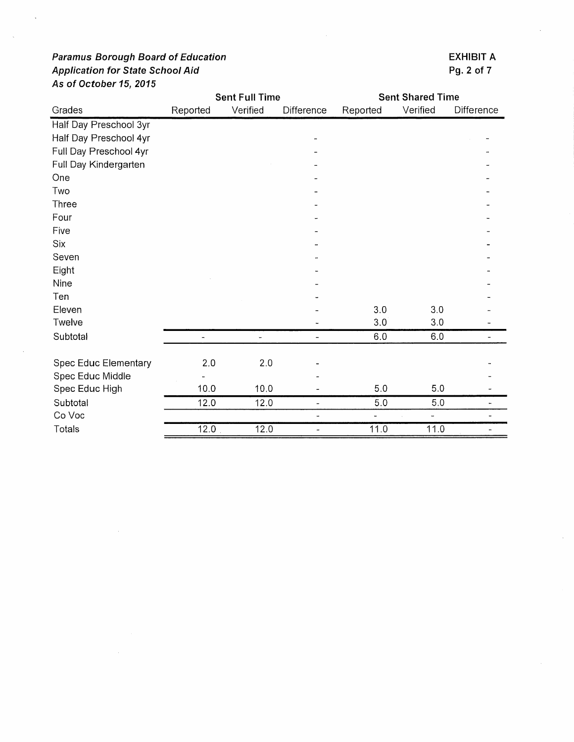|                        |               | <b>Sent Full Time</b> |            | <b>Sent Shared Time</b> |          |                          |
|------------------------|---------------|-----------------------|------------|-------------------------|----------|--------------------------|
| Grades                 | Reported      | Verified              | Difference | Reported                | Verified | Difference               |
| Half Day Preschool 3yr |               |                       |            |                         |          |                          |
| Half Day Preschool 4yr |               |                       |            |                         |          |                          |
| Full Day Preschool 4yr |               |                       |            |                         |          |                          |
| Full Day Kindergarten  |               |                       |            |                         |          |                          |
| One                    |               |                       |            |                         |          |                          |
| Two                    |               |                       |            |                         |          |                          |
| Three                  |               |                       |            |                         |          |                          |
| Four                   |               |                       |            |                         |          |                          |
| Five                   |               |                       |            |                         |          |                          |
| Six                    |               |                       |            |                         |          |                          |
| Seven                  |               |                       |            |                         |          |                          |
| Eight                  |               |                       |            |                         |          |                          |
| Nine                   |               |                       |            |                         |          |                          |
| Ten                    |               |                       |            |                         |          |                          |
| Eleven                 |               |                       |            | 3.0                     | 3.0      |                          |
| Twelve                 |               |                       |            | 3.0                     | 3.0      |                          |
| Subtotal               | $\frac{1}{2}$ | $\ddot{\phantom{0}}$  | -          | $6.0\,$                 | 6.0      | $\overline{\phantom{0}}$ |
| Spec Educ Elementary   | 2,0           | 2.0                   |            |                         |          |                          |
| Spec Educ Middle       |               |                       |            |                         |          |                          |
| Spec Educ High         | 10.0          | 10.0                  |            | 5.0                     | 5.0      |                          |
| Subtotal               | 12.0          | 12.0                  | Ξ.         | $5.0$                   | $5.0\,$  |                          |
| Co Voc                 |               |                       |            |                         |          |                          |
| Totals                 | 12.0          | 12.0                  | -          | 11.0                    | 11.0     |                          |

**EXHIBIT A** Pg. 2 of 7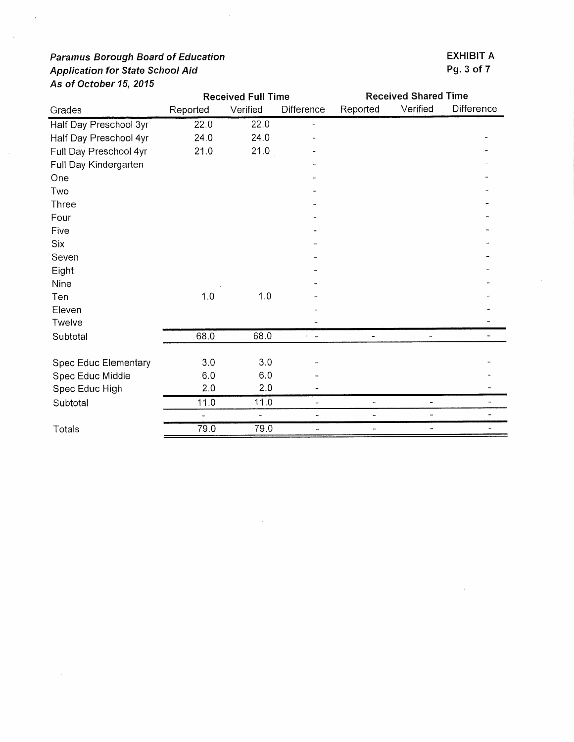|                        | <b>Received Full Time</b> |                          | <b>Received Shared Time</b> |                          |                |            |
|------------------------|---------------------------|--------------------------|-----------------------------|--------------------------|----------------|------------|
| Grades                 | Reported                  | Verified                 | Difference                  | Reported                 | Verified       | Difference |
| Half Day Preschool 3yr | 22.0                      | 22.0                     | ÷.                          |                          |                |            |
| Half Day Preschool 4yr | 24.0                      | 24.0                     |                             |                          |                |            |
| Full Day Preschool 4yr | 21.0                      | 21.0                     |                             |                          |                |            |
| Full Day Kindergarten  |                           |                          |                             |                          |                |            |
| One                    |                           |                          |                             |                          |                |            |
| Two                    |                           |                          |                             |                          |                |            |
| Three                  |                           |                          |                             |                          |                |            |
| Four                   |                           |                          |                             |                          |                |            |
| Five                   |                           |                          |                             |                          |                |            |
| Six                    |                           |                          |                             |                          |                |            |
| Seven                  |                           |                          |                             |                          |                |            |
| Eight                  |                           |                          |                             |                          |                |            |
| Nine                   |                           |                          |                             |                          |                |            |
| Ten                    | 1.0                       | 1.0                      |                             |                          |                |            |
| Eleven                 |                           |                          |                             |                          |                |            |
| Twelve                 |                           |                          |                             |                          |                |            |
| Subtotal               | 68.0                      | 68.0                     | $\sim$                      |                          |                |            |
|                        |                           |                          |                             |                          |                |            |
| Spec Educ Elementary   | 3.0                       | 3.0                      |                             |                          |                |            |
| Spec Educ Middle       | 6.0                       | 6.0                      |                             |                          |                |            |
| Spec Educ High         | 2.0                       | 2.0                      |                             |                          |                |            |
| Subtotal               | 11.0                      | 11.0                     | Ξ.                          | $\overline{\phantom{a}}$ | $\blacksquare$ |            |
|                        | ÷.                        | $\overline{\phantom{0}}$ |                             |                          | -              |            |
| Totals                 | 79.0                      | 79.0                     |                             | $\overline{a}$           | ÷              |            |

**EXHIBIT A** Pg. 3 of 7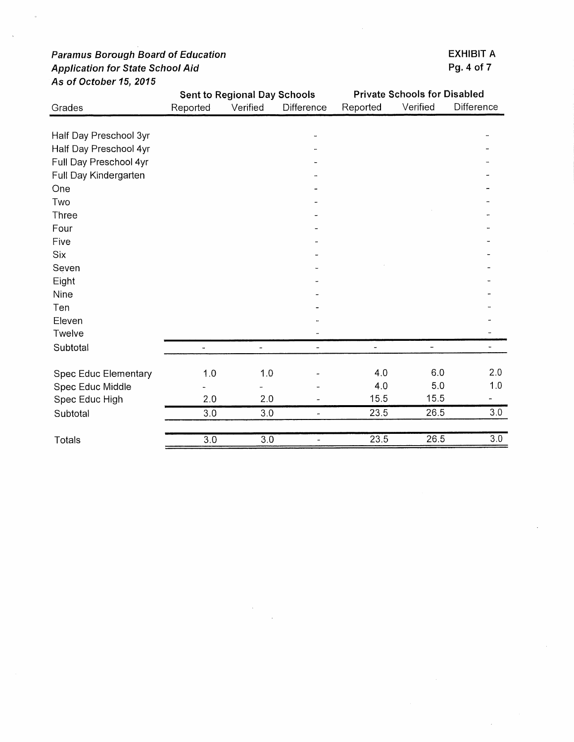|                             |                          | <b>Sent to Regional Day Schools</b> |                              | <b>Private Schools for Disabled</b> |          |                          |
|-----------------------------|--------------------------|-------------------------------------|------------------------------|-------------------------------------|----------|--------------------------|
| Grades                      | Reported                 | Verified                            | Difference                   | Reported                            | Verified | Difference               |
|                             |                          |                                     |                              |                                     |          |                          |
| Half Day Preschool 3yr      |                          |                                     |                              |                                     |          |                          |
| Half Day Preschool 4yr      |                          |                                     |                              |                                     |          |                          |
| Full Day Preschool 4yr      |                          |                                     |                              |                                     |          |                          |
| Full Day Kindergarten       |                          |                                     |                              |                                     |          |                          |
| One                         |                          |                                     |                              |                                     |          |                          |
| Two                         |                          |                                     |                              |                                     |          |                          |
| Three                       |                          |                                     |                              |                                     |          |                          |
| Four                        |                          |                                     |                              |                                     |          |                          |
| Five                        |                          |                                     |                              |                                     |          |                          |
| <b>Six</b>                  |                          |                                     |                              |                                     |          |                          |
| Seven                       |                          |                                     |                              |                                     |          |                          |
| Eight                       |                          |                                     |                              |                                     |          |                          |
| <b>Nine</b>                 |                          |                                     |                              |                                     |          |                          |
| Ten                         |                          |                                     |                              |                                     |          |                          |
| Eleven                      |                          |                                     |                              |                                     |          |                          |
| Twelve                      |                          |                                     |                              |                                     |          |                          |
| Subtotal                    | $\overline{\phantom{a}}$ | $\overline{\phantom{a}}$            | $\overline{\phantom{0}}$     | $\overline{\phantom{a}}$            | ÷        | $\overline{\phantom{0}}$ |
| <b>Spec Educ Elementary</b> | 1.0                      | 1.0                                 |                              | 4.0                                 | 6.0      | 2.0                      |
| Spec Educ Middle            |                          |                                     |                              | 4.0                                 | 5.0      | 1.0                      |
| Spec Educ High              | 2.0                      | 2.0                                 |                              | 15.5                                | 15.5     |                          |
| Subtotal                    | 3.0                      | 3.0                                 | $\overline{\phantom{a}}$     | 23.5                                | 26.5     | 3.0                      |
| Totals                      | $\overline{3.0}$         | $\overline{3.0}$                    | $\qquad \qquad \blacksquare$ | 23.5                                | 26.5     | $\overline{3.0}$         |

**EXHIBIT A** Pg. 4 of 7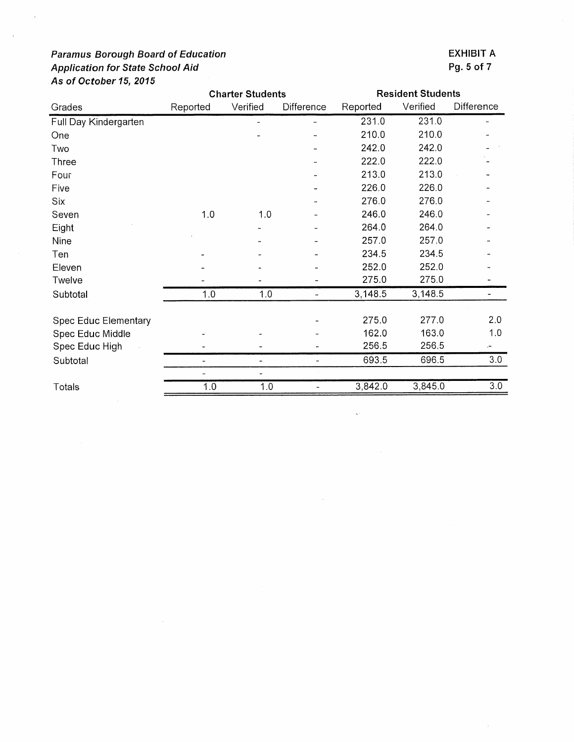|                             | <b>Charter Students</b> |          | <b>Resident Students</b> |          |          |              |
|-----------------------------|-------------------------|----------|--------------------------|----------|----------|--------------|
| Grades                      | Reported                | Verified | <b>Difference</b>        | Reported | Verified | Difference   |
| Full Day Kindergarten       |                         |          |                          | 231.0    | 231.0    |              |
| One                         |                         |          |                          | 210.0    | 210.0    |              |
| Two                         |                         |          |                          | 242.0    | 242.0    |              |
| Three                       |                         |          |                          | 222.0    | 222.0    |              |
| Four                        |                         |          |                          | 213.0    | 213.0    |              |
| Five                        |                         |          |                          | 226.0    | 226.0    |              |
| Six                         |                         |          |                          | 276.0    | 276.0    |              |
| Seven                       | 1.0                     | 1.0      |                          | 246.0    | 246.0    |              |
| Eight                       |                         |          |                          | 264.0    | 264.0    |              |
| Nine                        |                         |          |                          | 257.0    | 257.0    |              |
| Ten                         |                         |          |                          | 234.5    | 234.5    |              |
| Eleven                      |                         |          |                          | 252.0    | 252.0    |              |
| Twelve                      |                         |          |                          | 275.0    | 275.0    |              |
| Subtotal                    | 1.0                     | 1.0      |                          | 3,148.5  | 3,148.5  |              |
|                             |                         |          |                          |          |          |              |
| <b>Spec Educ Elementary</b> |                         |          |                          | 275.0    | 277.0    | 2.0          |
| Spec Educ Middle            |                         |          |                          | 162.0    | 163.0    | 1.0          |
| Spec Educ High              |                         |          |                          | 256.5    | 256.5    | $\leftarrow$ |
| Subtotal                    |                         |          |                          | 693.5    | 696.5    | 3.0          |

 $\overline{a}$ 

 $1.0$ 

Ξ

 $3,842.0$ 

 $\ddot{\phantom{0}}$ 

 $3,845.0$ 

 $\omega_{\rm c}$ 

 $1.0$ 

Totals

 $\bar{\lambda}$ 

Pg. 5 of 7

**EXHIBIT A** 

 $\overline{3.0}$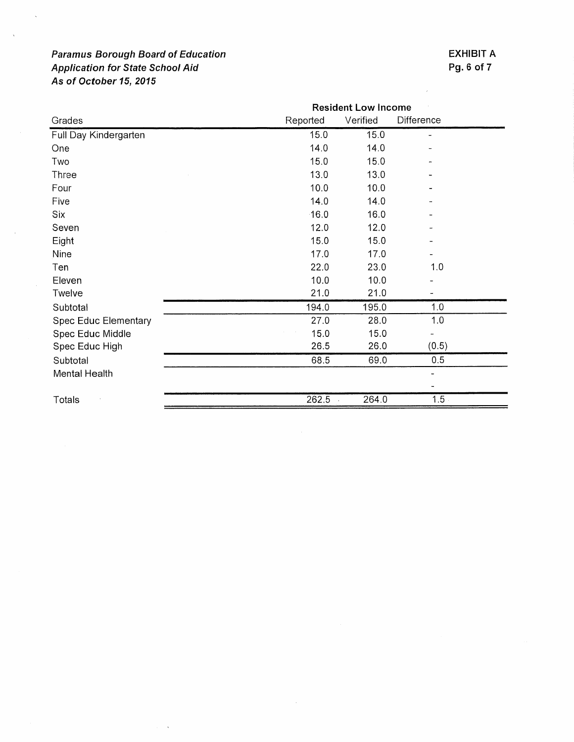$\langle \cdot, \cdot \rangle$ 

## **EXHIBIT A** Pg. 6 of 7

 $\hat{r}$ 

|                             | <b>Resident Low Income</b> |          |                          |  |
|-----------------------------|----------------------------|----------|--------------------------|--|
| Grades                      | Reported                   | Verified | Difference               |  |
| Full Day Kindergarten       | 15.0                       | 15.0     |                          |  |
| One                         | 14.0                       | 14.0     |                          |  |
| Two                         | 15.0                       | 15.0     |                          |  |
| Three                       | 13.0                       | 13.0     |                          |  |
| Four                        | 10.0                       | 10.0     |                          |  |
| Five                        | 14.0                       | 14.0     |                          |  |
| Six                         | $-16.0$                    | 16.0     |                          |  |
| Seven                       | 12.0                       | 12.0     |                          |  |
| Eight                       | 15.0                       | 15.0     |                          |  |
| Nine                        | 17.0                       | 17.0     |                          |  |
| Ten                         | 22.0                       | 23.0     | 1.0                      |  |
| Eleven                      | 10.0                       | 10.0     |                          |  |
| Twelve                      | 21.0                       | 21.0     |                          |  |
| Subtotal                    | 194.0                      | 195.0    | 1.0                      |  |
| <b>Spec Educ Elementary</b> | 27.0                       | 28.0     | 1.0                      |  |
| Spec Educ Middle            | 15.0                       | 15.0     |                          |  |
| Spec Educ High              | 26.5                       | 26.0     | (0.5)                    |  |
| Subtotal                    | 68.5                       | 69.0     | 0.5                      |  |
| Mental Health               |                            |          | $\overline{\phantom{0}}$ |  |
|                             |                            |          |                          |  |
| Totals                      | 262.5                      | 264.0    | 1.5                      |  |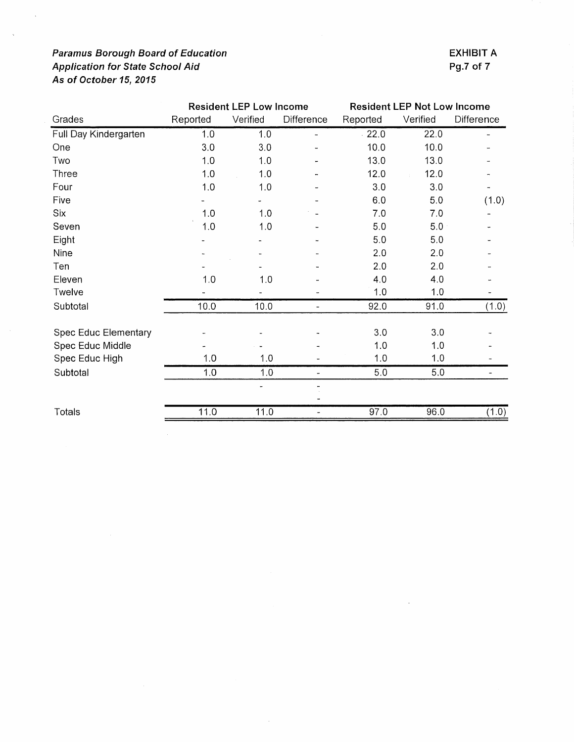$\hat{\mathcal{L}}$ 

 $\bar{z}$ 

|                       | <b>Resident LEP Low Income</b> |          | <b>Resident LEP Not Low Income</b> |          |          |            |
|-----------------------|--------------------------------|----------|------------------------------------|----------|----------|------------|
| Grades                | Reported                       | Verified | Difference                         | Reported | Verified | Difference |
| Full Day Kindergarten | 1.0                            | 1.0      | $\overline{\phantom{a}}$           | 22.0     | 22.0     | Ξ.         |
| One                   | 3.0                            | 3.0      |                                    | 10.0     | 10.0     |            |
| Two                   | 1.0                            | 1.0      |                                    | 13.0     | 13.0     |            |
| Three                 | 1.0                            | 1.0      |                                    | 12.0     | 12.0     |            |
| Four                  | 1.0                            | 1.0      |                                    | 3.0      | 3.0      |            |
| Five                  |                                |          |                                    | 6.0      | 5.0      | (1.0)      |
| Six                   | 1.0                            | 1.0      |                                    | 7.0      | 7.0      |            |
| Seven                 | 1.0                            | 1.0      |                                    | 5.0      | 5.0      |            |
| Eight                 |                                |          |                                    | 5.0      | 5.0      |            |
| Nine                  |                                |          |                                    | 2.0      | 2.0      |            |
| Ten                   |                                |          |                                    | 2.0      | 2.0      |            |
| Eleven                | 1.0                            | 1.0      |                                    | 4.0      | 4.0      |            |
| Twelve                |                                |          |                                    | 1.0      | 1.0      |            |
| Subtotal              | 10.0                           | 10.0     | -                                  | 92.0     | 91.0     | (1.0)      |
| Spec Educ Elementary  |                                |          |                                    | 3.0      | 3.0      |            |
| Spec Educ Middle      |                                |          |                                    | 1.0      | 1.0      |            |
| Spec Educ High        | 1.0                            | 1.0      |                                    | 1.0      | 1.0      |            |
| Subtotal              | 1.0                            | 1.0      |                                    | 5.0      | 5.0      |            |
|                       |                                |          |                                    |          |          |            |
| Totals                | 11.0                           | 11.0     | Ξ.                                 | 97.0     | 96.0     | (1.0)      |

 $\bar{z}$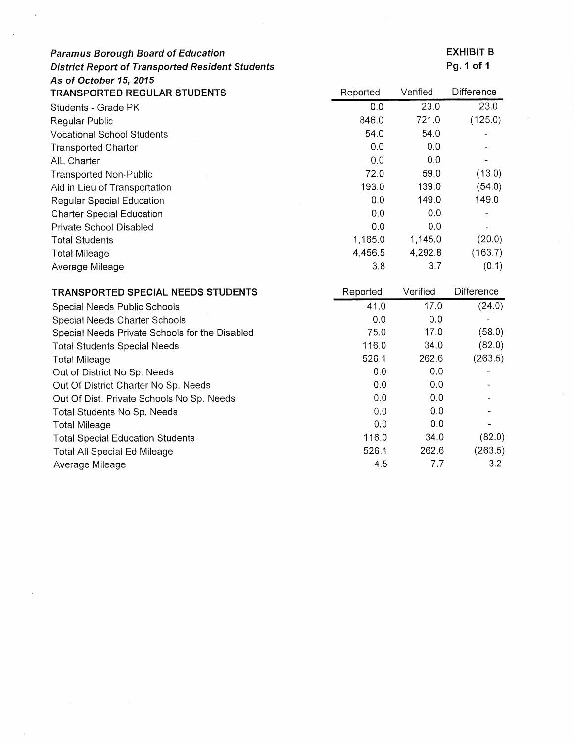| <b>Paramus Borough Board of Education</b>               |          |          | <b>EXHIBIT B</b> |
|---------------------------------------------------------|----------|----------|------------------|
| <b>District Report of Transported Resident Students</b> |          |          | Pg. 1 of 1       |
| As of October 15, 2015                                  |          |          |                  |
| <b>TRANSPORTED REGULAR STUDENTS</b>                     | Reported | Verified | Difference       |
| Students - Grade PK                                     | 0.0      | 23.0     | 23.0             |
| Regular Public                                          | 846.0    | 721.0    | (125.0)          |
| <b>Vocational School Students</b>                       | 54.0     | 54.0     |                  |
| <b>Transported Charter</b>                              | 0.0      | 0,0      |                  |
| AIL Charter                                             | 0,0      | 0.0      |                  |
| <b>Transported Non-Public</b>                           | 72.0     | 59.0     | (13.0)           |
| Aid in Lieu of Transportation                           | 193.0    | 139.0    | (54.0)           |
| <b>Regular Special Education</b>                        | 0.0      | 149.0    | 149.0            |
| <b>Charter Special Education</b>                        | 0.0      | 0,0      |                  |
| Private School Disabled                                 | 0.0      | 0.0      |                  |
| <b>Total Students</b>                                   | 1,165.0  | 1,145.0  | (20.0)           |
| <b>Total Mileage</b>                                    | 4,456.5  | 4,292.8  | (163.7)          |
| Average Mileage                                         | 3.8      | 3.7      | (0.1)            |
| TRANSPORTED SPECIAL NEEDS STUDENTS                      | Reported | Verified | Difference       |
| Special Needs Public Schools                            | 41.0     | 17.0     | (24.0)           |
| Special Needs Charter Schools                           | 0.0      | 0.0      |                  |

**EXHIBIT B** 

| Special Needs Public Schools                   | 41.0  | 17.0  | (24.0)  |
|------------------------------------------------|-------|-------|---------|
| Special Needs Charter Schools                  | 0.0   | 0.0   |         |
| Special Needs Private Schools for the Disabled | 75.0  | 17.0  | (58.0)  |
| <b>Total Students Special Needs</b>            | 116.0 | 34.0  | (82.0)  |
| <b>Total Mileage</b>                           | 526.1 | 262.6 | (263.5) |
| Out of District No Sp. Needs                   | 0.0   | 0.0   |         |
| Out Of District Charter No Sp. Needs           | 0.0   | 0.0   |         |
| Out Of Dist. Private Schools No Sp. Needs      | 0.0   | 0.0   |         |
| Total Students No Sp. Needs                    | 0.0   | 0.0   |         |
| <b>Total Mileage</b>                           | 0.0   | 0.0   |         |
| <b>Total Special Education Students</b>        | 116.0 | 34.0  | (82.0)  |
| Total All Special Ed Mileage                   | 526.1 | 262.6 | (263.5) |
| Average Mileage                                | 45    | 7.7   | 3.2     |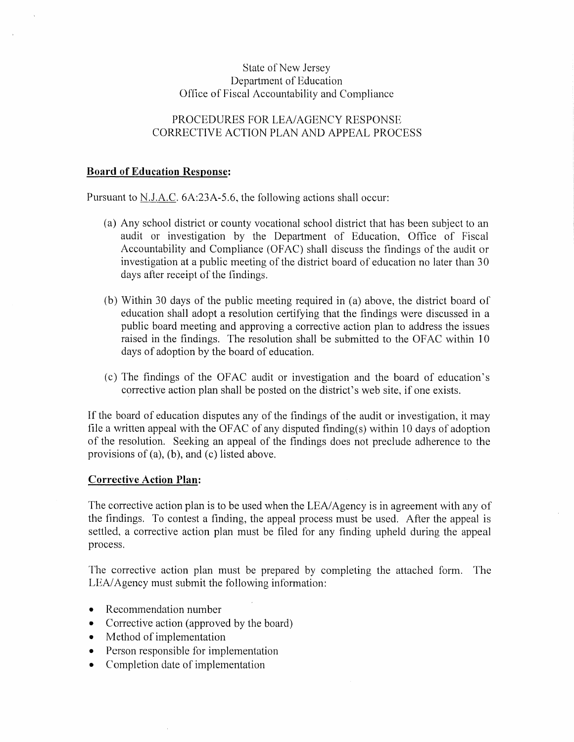## **State of New Jersey** Department of Education Office of Fiscal Accountability and Compliance

## PROCEDURES FOR LEA/AGENCY RESPONSE CORRECTIVE ACTION PLAN AND APPEAL PROCESS

### **Board of Education Response:**

Pursuant to N.J.A.C. 6A:23A-5.6, the following actions shall occur:

- (a) Any school district or county vocational school district that has been subject to an audit or investigation by the Department of Education, Office of Fiscal Accountability and Compliance (OFAC) shall discuss the findings of the audit or investigation at a public meeting of the district board of education no later than 30 days after receipt of the findings.
- (b) Within 30 days of the public meeting required in (a) above, the district board of education shall adopt a resolution certifying that the findings were discussed in a public board meeting and approving a corrective action plan to address the issues raised in the findings. The resolution shall be submitted to the OFAC within 10 days of adoption by the board of education.
- (c) The findings of the OFAC audit or investigation and the board of education's corrective action plan shall be posted on the district's web site, if one exists.

If the board of education disputes any of the findings of the audit or investigation, it may file a written appeal with the OFAC of any disputed finding(s) within 10 days of adoption of the resolution. Seeking an appeal of the findings does not preclude adherence to the provisions of  $(a)$ ,  $(b)$ , and  $(c)$  listed above.

### **Corrective Action Plan:**

The corrective action plan is to be used when the LEA/Agency is in agreement with any of the findings. To contest a finding, the appeal process must be used. After the appeal is settled, a corrective action plan must be filed for any finding upheld during the appeal process.

The corrective action plan must be prepared by completing the attached form. The LEA/Agency must submit the following information:

- Recommendation number
- Corrective action (approved by the board)
- Method of implementation
- Person responsible for implementation
- Completion date of implementation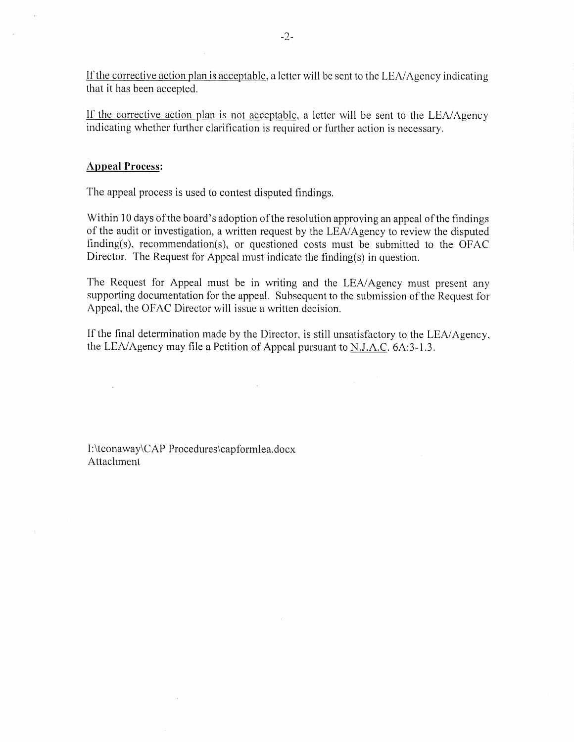If the corrective action plan is acceptable, a letter will be sent to the LEA/Agency indicating that it has been accepted.

If the corrective action plan is not acceptable, a letter will be sent to the LEA/Agency indicating whether further clarification is required or further action is necessary.

## **Appeal Process:**

The appeal process is used to contest disputed findings.

Within 10 days of the board's adoption of the resolution approving an appeal of the findings of the audit or investigation, a written request by the LEA/Agency to review the disputed finding(s), recommendation(s), or questioned costs must be submitted to the OFAC Director. The Request for Appeal must indicate the finding(s) in question.

The Request for Appeal must be in writing and the LEA/Agency must present any supporting documentation for the appeal. Subsequent to the submission of the Request for Appeal, the OFAC Director will issue a written decision.

If the final determination made by the Director, is still unsatisfactory to the LEA/Agency, the LEA/Agency may file a Petition of Appeal pursuant to N.J.A.C. 6A:3-1.3.

 $\mathcal{L}$ 

I:\tconaway\CAP Procedures\capformlea.docx Attachment